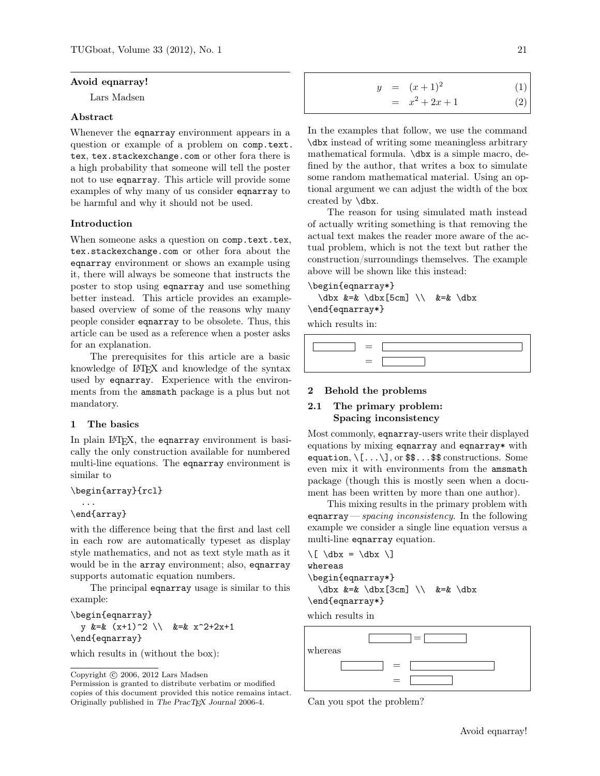#### <span id="page-0-1"></span>Avoid eqnarray!

Lars Madsen

#### Abstract

Whenever the eqnarray environment appears in a question or example of a problem on [comp.text.](comp.text.tex) [tex](comp.text.tex), <tex.stackexchange.com> or other fora there is a high probability that someone will tell the poster not to use eqnarray. This article will provide some examples of why many of us consider eqnarray to be harmful and why it should not be used.

#### Introduction

When someone asks a question on <comp.text.tex>, <tex.stackexchange.com> or other fora about the eqnarray environment or shows an example using it, there will always be someone that instructs the poster to stop using eqnarray and use something better instead. This article provides an examplebased overview of some of the reasons why many people consider eqnarray to be obsolete. Thus, this article can be used as a reference when a poster asks for an explanation.

The prerequisites for this article are a basic knowledge of LAT<sub>EX</sub> and knowledge of the syntax used by eqnarray. Experience with the environments from the amsmath package is a plus but not mandatory.

### <span id="page-0-0"></span>1 The basics

In plain IAT<sub>F</sub>X, the eqnarray environment is basically the only construction available for numbered multi-line equations. The eqnarray environment is similar to

```
\begin{array}{rcl}
```

```
...
\end{array}
```
with the difference being that the first and last cell in each row are automatically typeset as display style mathematics, and not as text style math as it would be in the array environment; also, eqnarray supports automatic equation numbers.

The principal eqnarray usage is similar to this example:

```
\begin{eqnarray}
 y &=& (x+1)^2 \\ &=& x^2+2x+1\end{eqnarray}
```
which results in (without the box):

$$
y = (x+1)^2
$$
(1)  
=  $x^2 + 2x + 1$  (2)

In the examples that follow, we use the command \dbx instead of writing some meaningless arbitrary mathematical formula. \dbx is a simple macro, defined by the author, that writes a box to simulate some random mathematical material. Using an optional argument we can adjust the width of the box created by \dbx.

The reason for using simulated math instead of actually writing something is that removing the actual text makes the reader more aware of the actual problem, which is not the text but rather the construction/surroundings themselves. The example above will be shown like this instead:

# \begin{eqnarray\*}

```
\d{bx \&=& \d{bx} [5cm] \iint \&=& \d{bx}\end{eqnarray*}
```
which results in:

#### 2 Behold the problems

### 2.1 The primary problem: Spacing inconsistency

Most commonly, eqnarray-users write their displayed equations by mixing eqnarray and eqnarray\* with equation,  $\langle$ [... $\rangle$ ], or \$\$...\$\$ constructions. Some even mix it with environments from the amsmath package (though this is mostly seen when a document has been written by more than one author).

This mixing results in the primary problem with equarray — spacing inconsistency. In the following example we consider a single line equation versus a multi-line eqnarray equation.

\[ \dbx = \dbx \] whereas \begin{eqnarray\*}  $\dagger \dagger$  &=&  $\dagger \dagger$   $\dagger$  \dbx  $\dagger$  3cm]  $\dagger$  &=&  $\dagger$ \end{eqnarray\*}

which results in



Can you spot the problem?

Copyright  $\odot$  2006, 2012 Lars Madsen

Permission is granted to distribute verbatim or modified copies of this document provided this notice remains intact. Originally published in The PracTEX Journal 2006-4.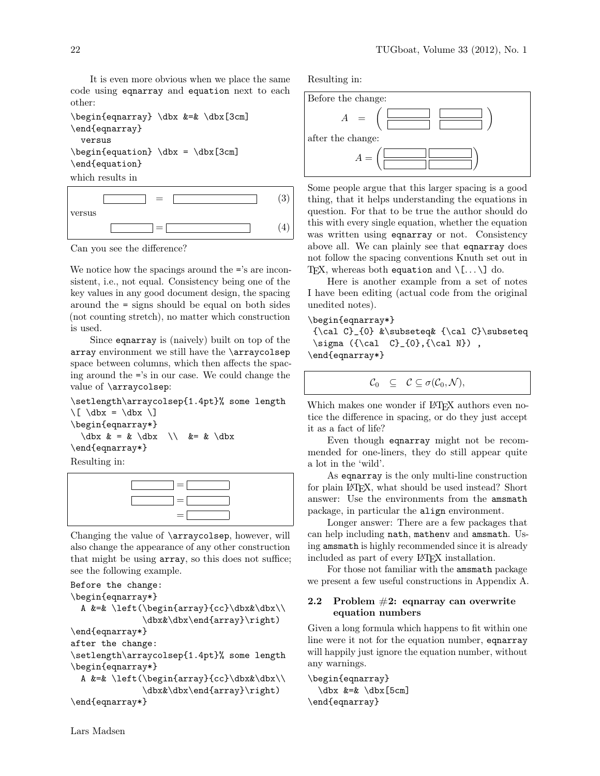It is even more obvious when we place the same code using eqnarray and equation next to each other:

```
\begin{eqnarray} \dbx &=& \dbx[3cm]
\end{eqnarray}
  versus
\begin{equation} \dbx = \dbx[3cm]\end{equation}
```
which results in



Can you see the difference?

We notice how the spacings around the  $=$ 's are inconsistent, i.e., not equal. Consistency being one of the key values in any good document design, the spacing around the = signs should be equal on both sides (not counting stretch), no matter which construction is used.

Since eqnarray is (naively) built on top of the array environment we still have the \arraycolsep space between columns, which then affects the spacing around the ='s in our case. We could change the value of \arraycolsep:

\setlength\arraycolsep{1.4pt}% some length \[ \dbx = \dbx \] \begin{eqnarray\*}  $\dagger \, \& = \& \dagger \, \& = \& \dagger \,$ \end{eqnarray\*}

Resulting in:



Changing the value of \arraycolsep, however, will also change the appearance of any other construction that might be using array, so this does not suffice; see the following example.

```
Before the change:
\begin{eqnarray*}
  A &=& \left(\begin{array}{cc}\dbx&\dbx\\
              \dbx&\dbx\end{array}\right)
\end{eqnarray*}
after the change:
\setlength\arraycolsep{1.4pt}% some length
\begin{eqnarray*}
  A &=& \left(\begin{array}{cc}\dbx&\dbx\\
              \dbx&\dbx\end{array}\right)
\end{eqnarray*}
```
Resulting in:



Some people argue that this larger spacing is a good thing, that it helps understanding the equations in question. For that to be true the author should do this with every single equation, whether the equation was written using eqnarray or not. Consistency above all. We can plainly see that eqnarray does not follow the spacing conventions Knuth set out in TEX, whereas both equation and  $\langle [\dots \rangle]$  do.

Here is another example from a set of notes I have been editing (actual code from the original unedited notes).

### \begin{eqnarray\*}

{\cal C}\_{0} &\subseteq& {\cal C}\subseteq  $\sigma$  ({\cal C}\_{0},{\cal N}), \end{eqnarray\*}

$$
\mathcal{C}_0 \quad \subseteq \quad \mathcal{C} \subseteq \sigma(\mathcal{C}_0, \mathcal{N}),
$$

Which makes one wonder if LAT<sub>EX</sub> authors even notice the difference in spacing, or do they just accept it as a fact of life?

Even though eqnarray might not be recommended for one-liners, they do still appear quite a lot in the 'wild'.

As eqnarray is the only multi-line construction for plain LATEX, what should be used instead? Short answer: Use the environments from the amsmath package, in particular the align environment.

Longer answer: There are a few packages that can help including nath, mathenv and amsmath. Using amsmath is highly recommended since it is already included as part of every LAT<sub>EX</sub> installation.

For those not familiar with the amsmath package we present a few useful constructions in Appendix [A.](#page-0-0)

### 2.2 Problem  $#2$ : eqnarray can overwrite equation numbers

Given a long formula which happens to fit within one line were it not for the equation number, eqnarray will happily just ignore the equation number, without any warnings.

\begin{eqnarray} \dbx &=& \dbx[5cm] \end{eqnarray}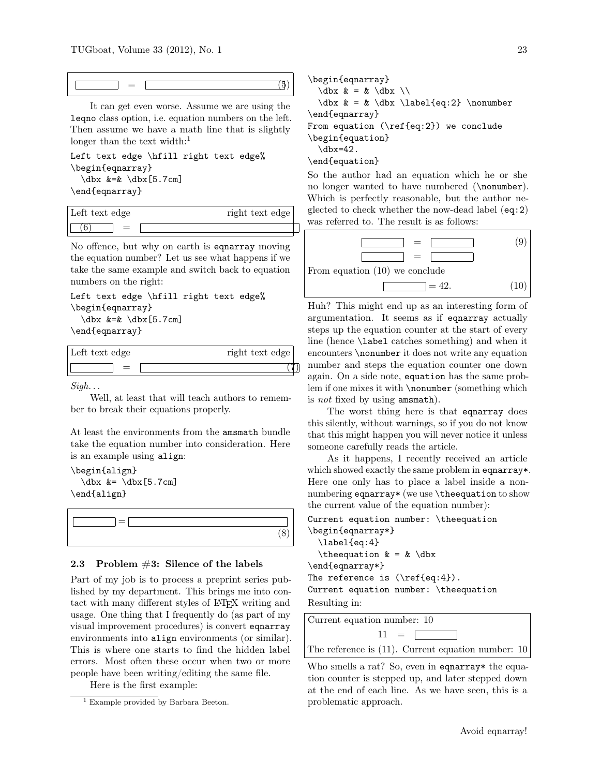$=$  (5)

It can get even worse. Assume we are using the leqno class option, i.e. equation numbers on the left. Then assume we have a math line that is slightly longer than the text width: $<sup>1</sup>$  $<sup>1</sup>$  $<sup>1</sup>$ </sup>

Left text edge \hfill right text edge% \begin{eqnarray} \dbx &=& \dbx[5.7cm]

\end{eqnarray}

| Left text edge | right text edge |
|----------------|-----------------|
|                |                 |

No offence, but why on earth is eqnarray moving the equation number? Let us see what happens if we take the same example and switch back to equation numbers on the right:

```
Left text edge \hfill right text edge%
\begin{eqnarray}
  \dbx &=& \dbx[5.7cm]
```
\end{eqnarray}

| Left text edge | right text edge |
|----------------|-----------------|
|                |                 |

 $Sigh...$ 

Well, at least that will teach authors to remember to break their equations properly.

At least the environments from the amsmath bundle take the equation number into consideration. Here is an example using align:

\begin{align}  $\dbar x$  &=  $\dbar x$  [5.7cm] \end{align}



#### 2.3 Problem  $#3$ : Silence of the labels

Part of my job is to process a preprint series published by my department. This brings me into contact with many different styles of LATEX writing and usage. One thing that I frequently do (as part of my visual improvement procedures) is convert eqnarray environments into align environments (or similar). This is where one starts to find the hidden label errors. Most often these occur when two or more people have been writing/editing the same file.

Here is the first example:

\begin{eqnarray}  $\dagger \dagger \dagger \dagger \dagger \dagger \dagger$  = &  $\dagger \dagger \dagger$  $\dbar x = \dbar \dbar \ldots \ldots \dbar q:2} \nonumber$ \end{eqnarray} From equation  $(\ref{eq:2})$  we conclude \begin{equation} \dbx=42. \end{equation} So the author had an equation which he or she

no longer wanted to have numbered (\nonumber). Which is perfectly reasonable, but the author neglected to check whether the now-dead label (eq:2) was referred to. The result is as follows:

<span id="page-2-1"></span>From equation (10) we conclude  
\n
$$
\begin{array}{|c|c|c|c|}\n\hline\n&=&\hline\n\end{array}
$$
\n(9)  
\n
$$
= 42.
$$
 (10)

Huh? This might end up as an interesting form of argumentation. It seems as if eqnarray actually steps up the equation counter at the start of every line (hence \label catches something) and when it encounters \nonumber it does not write any equation number and steps the equation counter one down again. On a side note, equation has the same problem if one mixes it with \nonumber (something which is not fixed by using amsmath).

The worst thing here is that equarray does this silently, without warnings, so if you do not know that this might happen you will never notice it unless someone carefully reads the article.

As it happens, I recently received an article which showed exactly the same problem in eqnarray\*. Here one only has to place a label inside a nonnumbering eqnarray\* (we use \theequation to show the current value of the equation number):

```
Current equation number: \theequation
\begin{eqnarray*}
 \label{eq:4}
  \the equation \& = \& \dagger\end{eqnarray*}
The reference is (\ref{eq:4}).Current equation number: \theequation
Resulting in:
```


Who smells a rat? So, even in equarray\* the equation counter is stepped up, and later stepped down at the end of each line. As we have seen, this is a problematic approach.

<span id="page-2-0"></span><sup>&</sup>lt;sup>1</sup> Example provided by Barbara Beeton.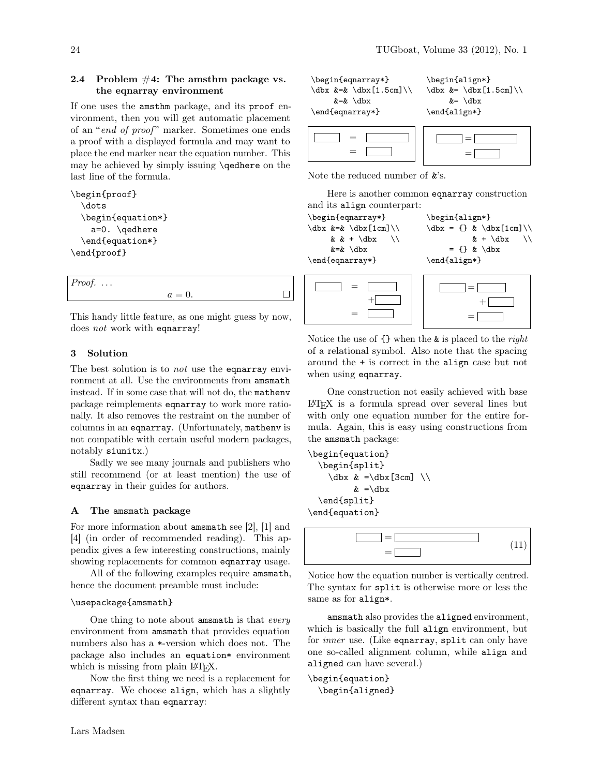### 2.4 Problem  $#4$ : The amsthm package vs. the eqnarray environment

If one uses the amsthm package, and its proof environment, then you will get automatic placement of an "end of proof" marker. Sometimes one ends a proof with a displayed formula and may want to place the end marker near the equation number. This may be achieved by simply issuing \qedhere on the last line of the formula.

```
\begin{proof}
 \dots
 \begin{equation*}
    a=0. \qedhere
 \end{equation*}
\end{proof}
```

|        | <i>Proof.</i> $\ldots$ |  |
|--------|------------------------|--|
| $a=0.$ |                        |  |

This handy little feature, as one might guess by now, does not work with eqnarray!

### 3 Solution

The best solution is to *not* use the equarray environment at all. Use the environments from amsmath instead. If in some case that will not do, the mathenv package reimplements eqnarray to work more rationally. It also removes the restraint on the number of columns in an eqnarray. (Unfortunately, mathenv is not compatible with certain useful modern packages, notably siunitx.)

Sadly we see many journals and publishers who still recommend (or at least mention) the use of eqnarray in their guides for authors.

#### A The amsmath package

For more information about amsmath see [\[2\]](#page-4-0), [\[1\]](#page-4-1) and [\[4\]](#page-4-2) (in order of recommended reading). This appendix gives a few interesting constructions, mainly showing replacements for common eqnarray usage.

All of the following examples require amsmath, hence the document preamble must include:

#### \usepackage{amsmath}

One thing to note about amsmath is that every environment from amsmath that provides equation numbers also has a \*-version which does not. The package also includes an equation\* environment which is missing from plain IATFX.

Now the first thing we need is a replacement for eqnarray. We choose align, which has a slightly different syntax than eqnarray:



Note the reduced number of &'s.

Here is another common eqnarray construction and its align counterpart:

\begin{eqnarray\*}  $\dbar$  &=&  $\dbar$  [1cm]  $\iota$ &  $k + \d{b}$ &=& \dbx \end{eqnarray\*} = + = \begin{align\*}  $\dot{x} = \{\} \& \dot{x}[1cm]\}\$  $& + \d{d}b$ **x** \\  $= \{\} \& \backslash \text{dbx}$ \end{align\*} =  $^{+}$ =

Notice the use of  $\{\}$  when the  $\&$  is placed to the right of a relational symbol. Also note that the spacing around the + is correct in the align case but not when using eqnarray.

One construction not easily achieved with base LATEX is a formula spread over several lines but with only one equation number for the entire formula. Again, this is easy using constructions from the amsmath package:

```
\begin{equation}
  \begin{split}
     \dot{x} = \ddot{x} [3cm] \ddot{x}& = \ddot{b}\end{split}
\end{equation}
```


Notice how the equation number is vertically centred. The syntax for split is otherwise more or less the same as for align\*.

amsmath also provides the aligned environment, which is basically the full align environment, but for *inner* use. (Like eqnarray, split can only have one so-called alignment column, while align and aligned can have several.)

```
\begin{equation}
 \begin{aligned}
```